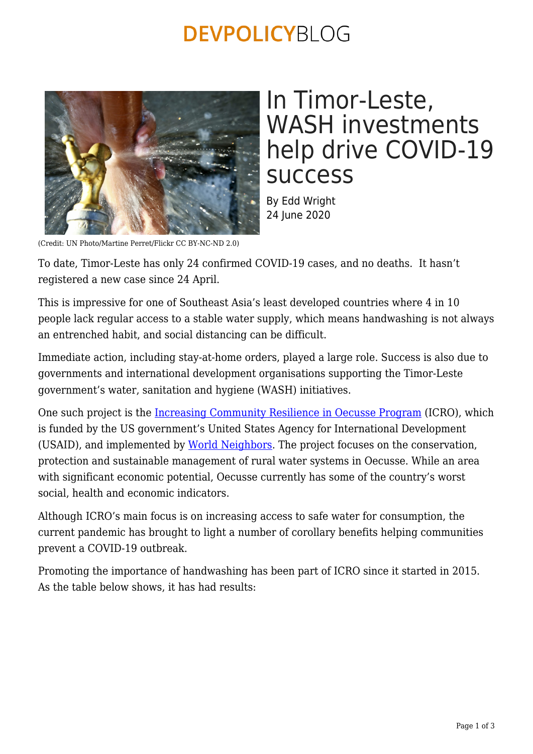## **DEVPOLICYBLOG**



## In Timor-Leste, WASH investments help drive COVID-19 success

By Edd Wright 24 June 2020

(Credit: UN Photo/Martine Perret/Flickr CC BY-NC-ND 2.0)

To date, Timor-Leste has only 24 confirmed COVID-19 cases, and no deaths. It hasn't registered a new case since 24 April.

This is impressive for one of Southeast Asia's least developed countries where 4 in 10 people lack regular access to a stable water supply, which means handwashing is not always an entrenched habit, and social distancing can be difficult.

Immediate action, including stay-at-home orders, played a large role. Success is also due to governments and international development organisations supporting the Timor-Leste government's water, sanitation and hygiene (WASH) initiatives.

One such project is the [Increasing Community Resilience in Oecusse Program](https://www.usaid.gov/timor-leste/project-descriptions/increasing-community-resilience-oecusse) (ICRO), which is funded by the US government's United States Agency for International Development (USAID), and implemented by [World Neighbors](https://www.wn.org/). The project focuses on the conservation, protection and sustainable management of rural water systems in Oecusse. While an area with significant economic potential, Oecusse currently has some of the country's worst social, health and economic indicators.

Although ICRO's main focus is on increasing access to safe water for consumption, the current pandemic has brought to light a number of corollary benefits helping communities prevent a COVID-19 outbreak.

Promoting the importance of handwashing has been part of ICRO since it started in 2015. As the table below shows, it has had results: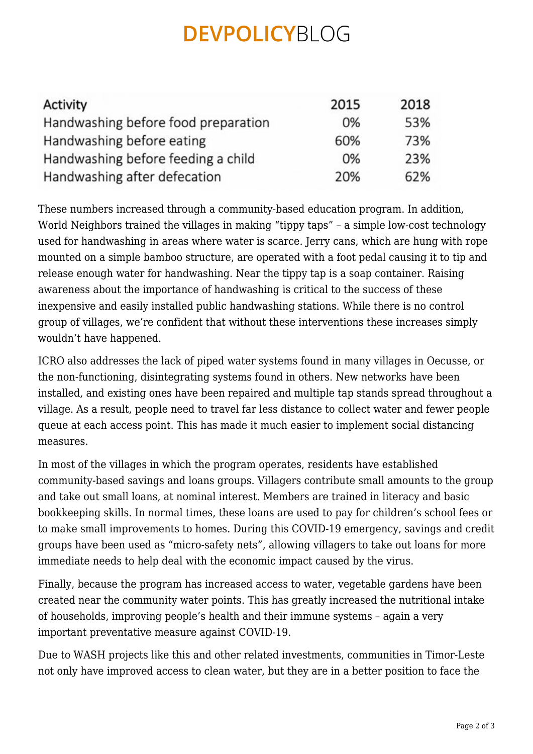## **DEVPOLICYBLOG**

| Activity                            | 2015 | 2018 |
|-------------------------------------|------|------|
| Handwashing before food preparation | 0%   | 53%  |
| Handwashing before eating           | 60%  | 73%  |
| Handwashing before feeding a child  | 0%   | 23%  |
| Handwashing after defecation        | 20%  | 62%  |

These numbers increased through a community-based education program. In addition, World Neighbors trained the villages in making "tippy taps" – a simple low-cost technology used for handwashing in areas where water is scarce. Jerry cans, which are hung with rope mounted on a simple bamboo structure, are operated with a foot pedal causing it to tip and release enough water for handwashing. Near the tippy tap is a soap container. Raising awareness about the importance of handwashing is critical to the success of these inexpensive and easily installed public handwashing stations. While there is no control group of villages, we're confident that without these interventions these increases simply wouldn't have happened.

ICRO also addresses the lack of piped water systems found in many villages in Oecusse, or the non-functioning, disintegrating systems found in others. New networks have been installed, and existing ones have been repaired and multiple tap stands spread throughout a village. As a result, people need to travel far less distance to collect water and fewer people queue at each access point. This has made it much easier to implement social distancing measures.

In most of the villages in which the program operates, residents have established community-based savings and loans groups. Villagers contribute small amounts to the group and take out small loans, at nominal interest. Members are trained in literacy and basic bookkeeping skills. In normal times, these loans are used to pay for children's school fees or to make small improvements to homes. During this COVID-19 emergency, savings and credit groups have been used as "micro-safety nets", allowing villagers to take out loans for more immediate needs to help deal with the economic impact caused by the virus.

Finally, because the program has increased access to water, vegetable gardens have been created near the community water points. This has greatly increased the nutritional intake of households, improving people's health and their immune systems – again a very important preventative measure against COVID-19.

Due to WASH projects like this and other related investments, communities in Timor-Leste not only have improved access to clean water, but they are in a better position to face the